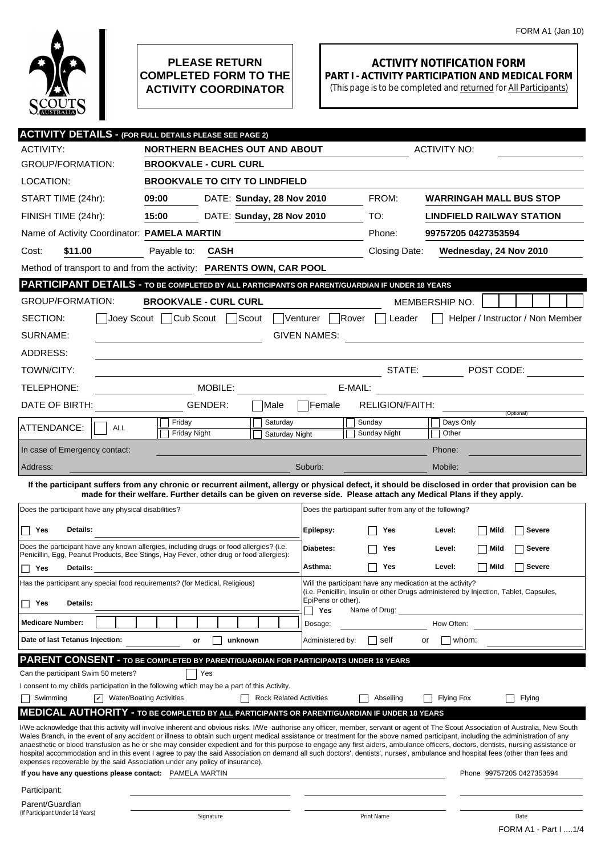

## **PLEASE RETURN COMPLETED FORM TO THE ACTIVITY COORDINATOR**

## **ACTIVITY NOTIFICATION FORM PART I - ACTIVITY PARTICIPATION AND MEDICAL FORM**

(This page is to be completed and returned for All Participants)

| <b>ACTIVITY DETAILS - (FOR FULL DETAILS PLEASE SEE PAGE 2)</b>                                                                                                                                                                                                                                                                                                       |                                                                                                                                                                                                                                   |                           |                |                                |                     |                                                                                                                       |                                  |                        |                                  |
|----------------------------------------------------------------------------------------------------------------------------------------------------------------------------------------------------------------------------------------------------------------------------------------------------------------------------------------------------------------------|-----------------------------------------------------------------------------------------------------------------------------------------------------------------------------------------------------------------------------------|---------------------------|----------------|--------------------------------|---------------------|-----------------------------------------------------------------------------------------------------------------------|----------------------------------|------------------------|----------------------------------|
| <b>ACTIVITY:</b>                                                                                                                                                                                                                                                                                                                                                     | <b>NORTHERN BEACHES OUT AND ABOUT</b><br><b>ACTIVITY NO:</b>                                                                                                                                                                      |                           |                |                                |                     |                                                                                                                       |                                  |                        |                                  |
| <b>GROUP/FORMATION:</b>                                                                                                                                                                                                                                                                                                                                              | <b>BROOKVALE - CURL CURL</b>                                                                                                                                                                                                      |                           |                |                                |                     |                                                                                                                       |                                  |                        |                                  |
| LOCATION:                                                                                                                                                                                                                                                                                                                                                            | <b>BROOKVALE TO CITY TO LINDFIELD</b>                                                                                                                                                                                             |                           |                |                                |                     |                                                                                                                       |                                  |                        |                                  |
| START TIME (24hr):                                                                                                                                                                                                                                                                                                                                                   | 09:00                                                                                                                                                                                                                             | DATE: Sunday, 28 Nov 2010 |                |                                |                     | FROM:                                                                                                                 |                                  |                        | <b>WARRINGAH MALL BUS STOP</b>   |
| FINISH TIME (24hr):                                                                                                                                                                                                                                                                                                                                                  | 15:00<br>DATE: Sunday, 28 Nov 2010                                                                                                                                                                                                |                           |                |                                |                     | TO:                                                                                                                   | <b>LINDFIELD RAILWAY STATION</b> |                        |                                  |
| Name of Activity Coordinator: PAMELA MARTIN                                                                                                                                                                                                                                                                                                                          |                                                                                                                                                                                                                                   |                           |                | Phone:                         | 99757205 0427353594 |                                                                                                                       |                                  |                        |                                  |
| Cost:<br>\$11.00                                                                                                                                                                                                                                                                                                                                                     | Payable to:                                                                                                                                                                                                                       | <b>CASH</b>               |                |                                |                     |                                                                                                                       | Closing Date:                    | Wednesday, 24 Nov 2010 |                                  |
|                                                                                                                                                                                                                                                                                                                                                                      | Method of transport to and from the activity: PARENTS OWN, CAR POOL                                                                                                                                                               |                           |                |                                |                     |                                                                                                                       |                                  |                        |                                  |
| <b>PARTICIPANT DETAILS - TO BE COMPLETED BY ALL PARTICIPANTS OR PARENT/GUARDIAN IF UNDER 18 YEARS</b>                                                                                                                                                                                                                                                                |                                                                                                                                                                                                                                   |                           |                |                                |                     |                                                                                                                       |                                  |                        |                                  |
| <b>GROUP/FORMATION:</b>                                                                                                                                                                                                                                                                                                                                              | <b>BROOKVALE - CURL CURL</b>                                                                                                                                                                                                      |                           |                |                                |                     |                                                                                                                       | MEMBERSHIP NO.                   |                        |                                  |
| SECTION:<br>Joey Scout                                                                                                                                                                                                                                                                                                                                               | Cub Scout                                                                                                                                                                                                                         |                           | Scout          | Venturer                       | <b>Rover</b>        | Leader                                                                                                                |                                  |                        | Helper / Instructor / Non Member |
| SURNAME:                                                                                                                                                                                                                                                                                                                                                             |                                                                                                                                                                                                                                   |                           |                | <b>GIVEN NAMES:</b>            |                     | <u>and the state of the state of the state of the state of the state of the state of the state of the state of th</u> |                                  |                        |                                  |
| ADDRESS:                                                                                                                                                                                                                                                                                                                                                             |                                                                                                                                                                                                                                   |                           |                |                                |                     |                                                                                                                       |                                  |                        |                                  |
| TOWN/CITY:                                                                                                                                                                                                                                                                                                                                                           |                                                                                                                                                                                                                                   |                           |                |                                |                     | STATE:                                                                                                                |                                  |                        | $\neg$ POST CODE:                |
| TELEPHONE:                                                                                                                                                                                                                                                                                                                                                           | MOBILE:<br>E-MAIL:                                                                                                                                                                                                                |                           |                |                                |                     |                                                                                                                       |                                  |                        |                                  |
| DATE OF BIRTH:                                                                                                                                                                                                                                                                                                                                                       |                                                                                                                                                                                                                                   | GENDER:                   | Male           | lFemale                        |                     | RELIGION/FAITH:                                                                                                       |                                  |                        |                                  |
| ATTENDANCE:                                                                                                                                                                                                                                                                                                                                                          | Friday                                                                                                                                                                                                                            |                           | Saturday       |                                |                     | Sunday                                                                                                                | Days Only                        |                        | (Optional)                       |
| <b>ALL</b>                                                                                                                                                                                                                                                                                                                                                           | <b>Friday Night</b>                                                                                                                                                                                                               |                           | Saturday Night |                                |                     | Sunday Night                                                                                                          | Other                            |                        |                                  |
| In case of Emergency contact:                                                                                                                                                                                                                                                                                                                                        |                                                                                                                                                                                                                                   |                           |                |                                |                     |                                                                                                                       | Phone:                           |                        |                                  |
| Address:                                                                                                                                                                                                                                                                                                                                                             |                                                                                                                                                                                                                                   |                           |                | Suburb:                        |                     |                                                                                                                       | Mobile:                          |                        |                                  |
| If the participant suffers from any chronic or recurrent ailment, allergy or physical defect, it should be disclosed in order that provision can be                                                                                                                                                                                                                  | made for their welfare. Further details can be given on reverse side. Please attach any Medical Plans if they apply.                                                                                                              |                           |                |                                |                     |                                                                                                                       |                                  |                        |                                  |
| Does the participant have any physical disabilities?                                                                                                                                                                                                                                                                                                                 |                                                                                                                                                                                                                                   |                           |                |                                |                     | Does the participant suffer from any of the following?                                                                |                                  |                        |                                  |
| Details:                                                                                                                                                                                                                                                                                                                                                             |                                                                                                                                                                                                                                   |                           |                |                                |                     |                                                                                                                       |                                  |                        |                                  |
| Yes<br>Does the participant have any known allergies, including drugs or food allergies? (i.e.                                                                                                                                                                                                                                                                       |                                                                                                                                                                                                                                   |                           |                | Epilepsy:                      |                     | Yes                                                                                                                   | Level:                           | Mild                   | Severe                           |
| Penicillin, Egg, Peanut Products, Bee Stings, Hay Fever, other drug or food allergies):                                                                                                                                                                                                                                                                              |                                                                                                                                                                                                                                   |                           |                | Diabetes:                      |                     | Yes                                                                                                                   | Level:                           | Mild                   | Severe                           |
| Yes<br>Details:<br>П                                                                                                                                                                                                                                                                                                                                                 |                                                                                                                                                                                                                                   |                           |                | Asthma:                        |                     | Yes                                                                                                                   | Level:                           | Mild                   | Severe                           |
|                                                                                                                                                                                                                                                                                                                                                                      | Will the participant have any medication at the activity?<br>Has the participant any special food requirements? (for Medical, Religious)<br>(i.e. Penicillin, Insulin or other Drugs administered by Injection, Tablet, Capsules, |                           |                |                                |                     |                                                                                                                       |                                  |                        |                                  |
| Details:<br>Yes<br>U                                                                                                                                                                                                                                                                                                                                                 |                                                                                                                                                                                                                                   |                           |                | EpiPens or other).<br>Yes      |                     | Name of Drug:                                                                                                         |                                  |                        |                                  |
| <b>Medicare Number:</b>                                                                                                                                                                                                                                                                                                                                              |                                                                                                                                                                                                                                   |                           |                | Dosage:                        |                     |                                                                                                                       | How Often:                       |                        |                                  |
| Date of last Tetanus Injection:                                                                                                                                                                                                                                                                                                                                      | or                                                                                                                                                                                                                                | unknown                   |                | Administered by:               |                     | self                                                                                                                  | or                               | whom:                  |                                  |
| <b>PARENT CONSENT - TO BE COMPLETED BY PARENT/GUARDIAN FOR PARTICIPANTS UNDER 18 YEARS</b>                                                                                                                                                                                                                                                                           |                                                                                                                                                                                                                                   |                           |                |                                |                     |                                                                                                                       |                                  |                        |                                  |
| Can the participant Swim 50 meters?                                                                                                                                                                                                                                                                                                                                  |                                                                                                                                                                                                                                   | Yes                       |                |                                |                     |                                                                                                                       |                                  |                        |                                  |
| I consent to my childs participation in the following which may be a part of this Activity.                                                                                                                                                                                                                                                                          |                                                                                                                                                                                                                                   |                           |                |                                |                     |                                                                                                                       |                                  |                        |                                  |
| $ \mathbf{v} $ Water/Boating Activities<br>Swimming                                                                                                                                                                                                                                                                                                                  |                                                                                                                                                                                                                                   |                           |                | <b>Rock Related Activities</b> |                     | Abseiling                                                                                                             | <b>Flying Fox</b>                |                        | Flying                           |
| <b>MEDICAL AUTHORITY - TO BE COMPLETED BY ALL PARTICIPANTS OR PARENT/GUARDIAN IF UNDER 18 YEARS</b><br>I/We acknowledge that this activity will involve inherent and obvious risks. I/We authorise any officer, member, servant or agent of The Scout Association of Australia, New South                                                                            |                                                                                                                                                                                                                                   |                           |                |                                |                     |                                                                                                                       |                                  |                        |                                  |
| Wales Branch, in the event of any accident or illness to obtain such urgent medical assistance or treatment for the above named participant, including the administration of any                                                                                                                                                                                     |                                                                                                                                                                                                                                   |                           |                |                                |                     |                                                                                                                       |                                  |                        |                                  |
| anaesthetic or blood transfusion as he or she may consider expedient and for this purpose to engage any first aiders, ambulance officers, doctors, dentists, nursing assistance or<br>hospital accommodation and in this event I agree to pay the said Association on demand all such doctors', dentists', nurses', ambulance and hospital fees (other than fees and |                                                                                                                                                                                                                                   |                           |                |                                |                     |                                                                                                                       |                                  |                        |                                  |
| expenses recoverable by the said Association under any policy of insurance).<br>If you have any questions please contact: PAMELA MARTIN                                                                                                                                                                                                                              |                                                                                                                                                                                                                                   |                           |                |                                |                     |                                                                                                                       |                                  |                        | Phone 99757205 0427353594        |
| Participant:                                                                                                                                                                                                                                                                                                                                                         |                                                                                                                                                                                                                                   |                           |                |                                |                     |                                                                                                                       |                                  |                        |                                  |
| Parent/Guardian                                                                                                                                                                                                                                                                                                                                                      |                                                                                                                                                                                                                                   |                           |                |                                |                     |                                                                                                                       |                                  |                        |                                  |
| (If Participant Under 18 Years)                                                                                                                                                                                                                                                                                                                                      | Signature                                                                                                                                                                                                                         |                           | Print Name     |                                |                     |                                                                                                                       | Date                             |                        |                                  |
|                                                                                                                                                                                                                                                                                                                                                                      |                                                                                                                                                                                                                                   |                           |                |                                |                     |                                                                                                                       |                                  |                        | FORM A1 - Part I  1/4            |